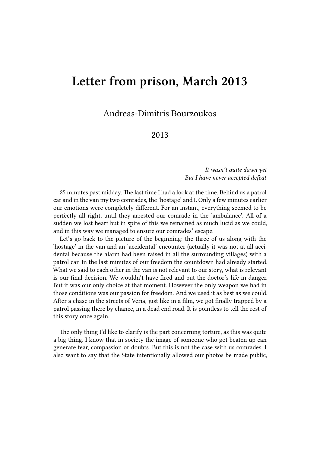## **Letter from prison, March 2013**

Andreas-Dimitris Bourzoukos

## 2013

*It wasn't quite dawn yet But I have never accepted defeat*

25 minutes past midday. The last time I had a look at the time. Behind us a patrol car and in the van my two comrades, the 'hostage' and I. Only a few minutes earlier our emotions were completely different. For an instant, everything seemed to be perfectly all right, until they arrested our comrade in the 'ambulance'. All of a sudden we lost heart but in spite of this we remained as much lucid as we could, and in this way we managed to ensure our comrades' escape.

Let's go back to the picture of the beginning: the three of us along with the 'hostage' in the van and an 'accidental' encounter (actually it was not at all accidental because the alarm had been raised in all the surrounding villages) with a patrol car. In the last minutes of our freedom the countdown had already started. What we said to each other in the van is not relevant to our story, what is relevant is our final decision. We wouldn't have fired and put the doctor's life in danger. But it was our only choice at that moment. However the only weapon we had in those conditions was our passion for freedom. And we used it as best as we could. After a chase in the streets of Veria, just like in a film, we got finally trapped by a patrol passing there by chance, in a dead end road. It is pointless to tell the rest of this story once again.

The only thing I'd like to clarify is the part concerning torture, as this was quite a big thing. I know that in society the image of someone who got beaten up can generate fear, compassion or doubts. But this is not the case with us comrades. I also want to say that the State intentionally allowed our photos be made public,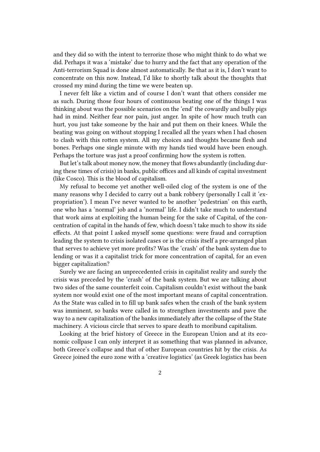and they did so with the intent to terrorize those who might think to do what we did. Perhaps it was a 'mistake' due to hurry and the fact that any operation of the Anti-terrorism Squad is done almost automatically. Be that as it is, I don't want to concentrate on this now. Instead, I'd like to shortly talk about the thoughts that crossed my mind during the time we were beaten up.

I never felt like a victim and of course I don't want that others consider me as such. During those four hours of continuous beating one of the things I was thinking about was the possible scenarios on the 'end' the cowardly and bully pigs had in mind. Neither fear nor pain, just anger. In spite of how much truth can hurt, you just take someone by the hair and put them on their knees. While the beating was going on without stopping I recalled all the years when I had chosen to clash with this rotten system. All my choices and thoughts became flesh and bones. Perhaps one single minute with my hands tied would have been enough. Perhaps the torture was just a proof confirming how the system is rotten.

But let's talk about money now, the money that flows abundantly (including during these times of crisis) in banks, public offices and all kinds of capital investment (like Cosco). This is the blood of capitalism.

My refusal to become yet another well-oiled clog of the system is one of the many reasons why I decided to carry out a bank robbery (personally I call it 'expropriation'). I mean I've never wanted to be another 'pedestrian' on this earth, one who has a 'normal' job and a 'normal' life. I didn't take much to understand that work aims at exploiting the human being for the sake of Capital, of the concentration of capital in the hands of few, which doesn't take much to show its side effects. At that point I asked myself some questions: were fraud and corruption leading the system to crisis isolated cases or is the crisis itself a pre-arranged plan that serves to achieve yet more profits? Was the 'crash' of the bank system due to lending or was it a capitalist trick for more concentration of capital, for an even bigger capitalization?

Surely we are facing an unprecedented crisis in capitalist reality and surely the crisis was preceded by the 'crash' of the bank system. But we are talking about two sides of the same counterfeit coin. Capitalism couldn't exist without the bank system nor would exist one of the most important means of capital concentration. As the State was called in to fill up bank safes when the crash of the bank system was imminent, so banks were called in to strengthen investments and pave the way to a new capitalization of the banks immediately after the collapse of the State machinery. A vicious circle that serves to spare death to moribund capitalism.

Looking at the brief history of Greece in the European Union and at its economic collpase I can only interpret it as something that was planned in advance, both Greece's collapse and that of other European countries hit by the crisis. As Greece joined the euro zone with a 'creative logistics' (as Greek logistics has been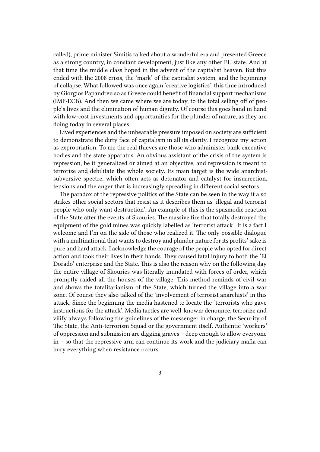called), prime minister Simitis talked about a wonderful era and presented Greece as a strong country, in constant development, just like any other EU state. And at that time the middle class hoped in the advent of the capitalist heaven. But this ended with the 2008 crisis, the 'mark' of the capitalist system, and the beginning of collapse. What followed was once again 'creative logistics', this time introduced by Giorgios Papandreu so as Greece could benefit of financial support mechanisms (IMF-ECB). And then we came where we are today, to the total selling off of people's lives and the elimination of human dignity. Of course this goes hand in hand with low-cost investments and opportunities for the plunder of nature, as they are doing today in several places.

Lived experiences and the unbearable pressure imposed on society are sufficient to demonstrate the dirty face of capitalism in all its clarity. I recognize my action as expropriation. To me the real thieves are those who administer bank executive bodies and the state apparatus. An obvious assistant of the crisis of the system is repression, be it generalized or aimed at an objective, and repression is meant to terrorize and debilitate the whole society. Its main target is the wide anarchistsubversive spectre, which often acts as detonator and catalyst for insurrection, tensions and the anger that is increasingly spreading in different social sectors.

The paradox of the repressive politics of the State can be seen in the way it also strikes other social sectors that resist as it describes them as 'illegal and terrorist people who only want destruction'. An example of this is the spasmodic reaction of the State after the events of Skouries. The massive fire that totally destroyed the equipment of the gold mines was quickly labelled as 'terrorist attack'. It is a fact I welcome and I'm on the side of those who realized it. The only possible dialogue with a multinational that wants to destroy and plunder nature for its profits' sake is pure and hard attack. I acknowledge the courage of the people who opted for direct action and took their lives in their hands. They caused fatal injury to both the 'El Dorado' enterprise and the State. This is also the reason why on the following day the entire village of Skouries was literally inundated with forces of order, which promptly raided all the houses of the village. This method reminds of civil war and shows the totalitarianism of the State, which turned the village into a war zone. Of course they also talked of the 'involvement of terrorist anarchists' in this attack. Since the beginning the media hastened to locate the 'terrorists who gave instructions for the attack'. Media tactics are well-known: denounce, terrorize and vilify always following the guidelines of the messenger in charge, the Security of The State, the Anti-terrorism Squad or the government itself. Authentic 'workers' of oppression and submission are digging graves – deep enough to allow everyone in – so that the repressive arm can continue its work and the judiciary mafia can bury everything when resistance occurs.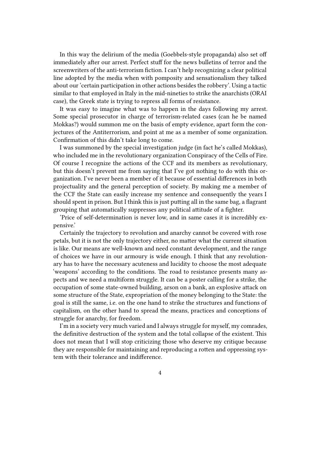In this way the delirium of the media (Goebbels-style propaganda) also set off immediately after our arrest. Perfect stuff for the news bulletins of terror and the screenwriters of the anti-terrorism fiction. I can't help recognizing a clear political line adopted by the media when with pomposity and sensationalism they talked about our 'certain participation in other actions besides the robbery'. Using a tactic similar to that employed in Italy in the mid-nineties to strike the anarchists (ORAI case), the Greek state is trying to repress all forms of resistance.

It was easy to imagine what was to happen in the days following my arrest. Some special prosecutor in charge of terrorism-related cases (can he be named Mokkas?) would summon me on the basis of empty evidence, apart form the conjectures of the Antiterrorism, and point at me as a member of some organization. Confirmation of this didn't take long to come.

I was summoned by the special investigation judge (in fact he's called Mokkas), who included me in the revolutionary organization Conspiracy of the Cells of Fire. Of course I recognize the actions of the CCF and its members as revolutionary, but this doesn't prevent me from saying that I've got nothing to do with this organization. I've never been a member of it because of essential differences in both projectuality and the general perception of society. By making me a member of the CCF the State can easily increase my sentence and consequently the years I should spent in prison. But I think this is just putting all in the same bag, a flagrant grouping that automatically suppresses any political attitude of a fighter.

'Price of self-determination is never low, and in same cases it is incredibly expensive.'

Certainly the trajectory to revolution and anarchy cannot be covered with rose petals, but it is not the only trajectory either, no matter what the current situation is like. Our means are well-known and need constant development, and the range of choices we have in our armoury is wide enough. I think that any revolutionary has to have the necessary acuteness and lucidity to choose the most adequate 'weapons' according to the conditions. The road to resistance presents many aspects and we need a multiform struggle. It can be a poster calling for a strike, the occupation of some state-owned building, arson on a bank, an explosive attack on some structure of the State, expropriation of the money belonging to the State: the goal is still the same, i.e. on the one hand to strike the structures and functions of capitalism, on the other hand to spread the means, practices and conceptions of struggle for anarchy, for freedom.

I'm in a society very much varied and I always struggle for myself, my comrades, the definitive destruction of the system and the total collapse of the existent. This does not mean that I will stop criticizing those who deserve my critique because they are responsible for maintaining and reproducing a rotten and oppressing system with their tolerance and indifference.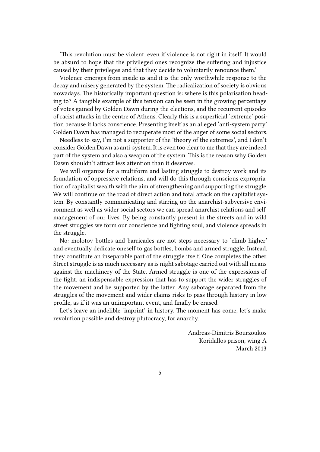'This revolution must be violent, even if violence is not right in itself. It would be absurd to hope that the privileged ones recognize the suffering and injustice caused by their privileges and that they decide to voluntarily renounce them.'

Violence emerges from inside us and it is the only worthwhile response to the decay and misery generated by the system. The radicalization of society is obvious nowadays. The historically important question is: where is this polarisation heading to? A tangible example of this tension can be seen in the growing percentage of votes gained by Golden Dawn during the elections, and the recurrent episodes of racist attacks in the centre of Athens. Clearly this is a superficial 'extreme' position because it lacks conscience. Presenting itself as an alleged 'anti-system party' Golden Dawn has managed to recuperate most of the anger of some social sectors.

Needless to say, I'm not a supporter of the 'theory of the extremes', and I don't consider Golden Dawn as anti-system. It is even too clear to me that they are indeed part of the system and also a weapon of the system. This is the reason why Golden Dawn shouldn't attract less attention than it deserves.

We will organize for a multiform and lasting struggle to destroy work and its foundation of oppressive relations, and will do this through conscious expropriation of capitalist wealth with the aim of strengthening and supporting the struggle. We will continue on the road of direct action and total attack on the capitalist system. By constantly communicating and stirring up the anarchist-subversive environment as well as wider social sectors we can spread anarchist relations and selfmanagement of our lives. By being constantly present in the streets and in wild street struggles we form our conscience and fighting soul, and violence spreads in the struggle.

No: molotov bottles and barricades are not steps necessary to 'climb higher' and eventually dedicate oneself to gas bottles, bombs and armed struggle. Instead, they constitute an inseparable part of the struggle itself. One completes the other. Street struggle is as much necessary as is night sabotage carried out with all means against the machinery of the State. Armed struggle is one of the expressions of the fight, an indispensable expression that has to support the wider struggles of the movement and be supported by the latter. Any sabotage separated from the struggles of the movement and wider claims risks to pass through history in low profile, as if it was an unimportant event, and finally be erased.

Let's leave an indelible 'imprint' in history. The moment has come, let's make revolution possible and destroy plutocracy, for anarchy.

> Andreas-Dimitris Bourzoukos Koridallos prison, wing A March 2013